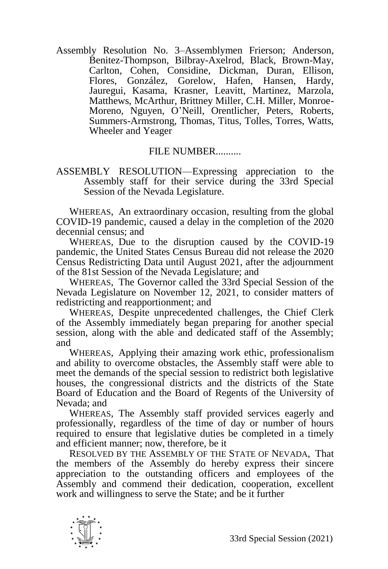Assembly Resolution No. 3–Assemblymen Frierson; Anderson, Benitez-Thompson, Bilbray-Axelrod, Black, Brown-May, Carlton, Cohen, Considine, Dickman, Duran, Ellison, Flores, González, Gorelow, Hafen, Hansen, Hardy, Jauregui, Kasama, Krasner, Leavitt, Martinez, Marzola, Matthews, McArthur, Brittney Miller, C.H. Miller, Monroe-Moreno, Nguyen, O'Neill, Orentlicher, Peters, Roberts, Summers-Armstrong, Thomas, Titus, Tolles, Torres, Watts, Wheeler and Yeager

## FILE NUMBER..........

## ASSEMBLY RESOLUTION—Expressing appreciation to the Assembly staff for their service during the 33rd Special Session of the Nevada Legislature.

WHEREAS, An extraordinary occasion, resulting from the global COVID-19 pandemic, caused a delay in the completion of the 2020 decennial census; and

WHEREAS, Due to the disruption caused by the COVID-19 pandemic, the United States Census Bureau did not release the 2020 Census Redistricting Data until August 2021, after the adjournment of the 81st Session of the Nevada Legislature; and

WHEREAS, The Governor called the 33rd Special Session of the Nevada Legislature on November 12, 2021, to consider matters of redistricting and reapportionment; and

WHEREAS, Despite unprecedented challenges, the Chief Clerk of the Assembly immediately began preparing for another special session, along with the able and dedicated staff of the Assembly; and

WHEREAS, Applying their amazing work ethic, professionalism and ability to overcome obstacles, the Assembly staff were able to meet the demands of the special session to redistrict both legislative houses, the congressional districts and the districts of the State Board of Education and the Board of Regents of the University of Nevada; and

WHEREAS, The Assembly staff provided services eagerly and professionally, regardless of the time of day or number of hours required to ensure that legislative duties be completed in a timely and efficient manner; now, therefore, be it

RESOLVED BY THE ASSEMBLY OF THE STATE OF NEVADA, That the members of the Assembly do hereby express their sincere appreciation to the outstanding officers and employees of the Assembly and commend their dedication, cooperation, excellent work and willingness to serve the State; and be it further